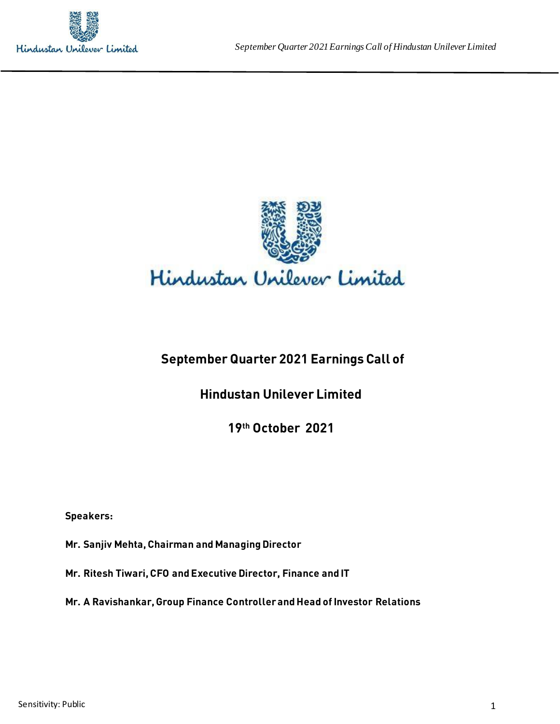



# **September Quarter 2021 Earnings Call of**

# **Hindustan Unilever Limited**

**19th October 2021**

**Speakers:** 

**Mr. Sanjiv Mehta, Chairman and Managing Director**

**Mr. Ritesh Tiwari, CFO and Executive Director, Finance and IT**

**Mr. A Ravishankar, Group Finance Controller and Head of Investor Relations**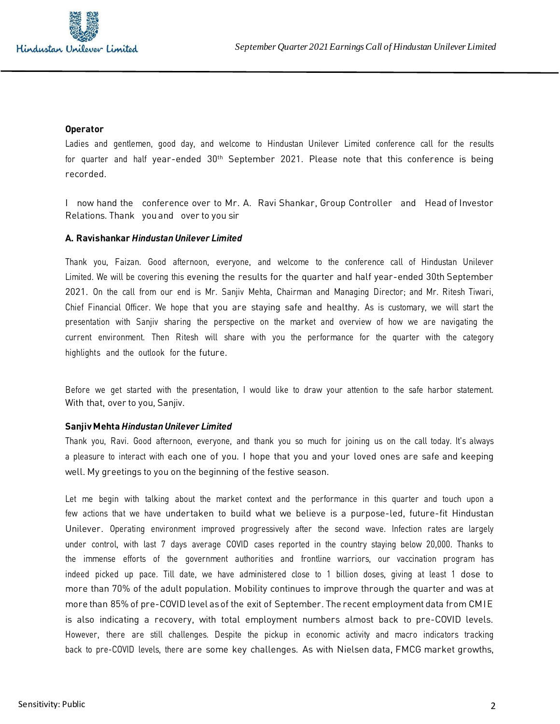

## **Operator**

Ladies and gentlemen, good day, and welcome to Hindustan Unilever Limited conference call for the results for quarter and half year-ended 30<sup>th</sup> September 2021. Please note that this conference is being recorded.

I now hand the conference over to Mr. A. Ravi Shankar, Group Controller and Head of Investor Relations. Thank youand over to you sir

## **A. Ravishankar** *Hindustan Unilever Limited*

Thank you, Faizan. Good afternoon, everyone, and welcome to the conference call of Hindustan Unilever Limited. We will be covering this evening the results for the quarter and half year-ended 30th September 2021. On the call from our end is Mr. Sanjiv Mehta, Chairman and Managing Director; and Mr. Ritesh Tiwari, Chief Financial Officer. We hope that you are staying safe and healthy. As is customary, we will start the presentation with Sanjiv sharing the perspective on the market and overview of how we are navigating the current environment. Then Ritesh will share with you the performance for the quarter with the category highlights and the outlook for the future.

Before we get started with the presentation, I would like to draw your attention to the safe harbor statement. With that, over to you, Sanjiv.

## **Sanjiv Mehta** *Hindustan Unilever Limited*

Thank you, Ravi. Good afternoon, everyone, and thank you so much for joining us on the call today. It's always a pleasure to interact with each one of you. I hope that you and your loved ones are safe and keeping well. My greetings to you on the beginning of the festive season.

Let me begin with talking about the market context and the performance in this quarter and touch upon a few actions that we have undertaken to build what we believe is a purpose-led, future-fit Hindustan Unilever. Operating environment improved progressively after the second wave. Infection rates are largely under control, with last 7 days average COVID cases reported in the country staying below 20,000. Thanks to the immense efforts of the government authorities and frontline warriors, our vaccination program has indeed picked up pace. Till date, we have administered close to 1 billion doses, giving at least 1 dose to more than 70% of the adult population. Mobility continues to improve through the quarter and was at more than 85% of pre-COVID level asof the exit of September. The recent employment data from CMIE is also indicating a recovery, with total employment numbers almost back to pre-COVID levels. However, there are still challenges. Despite the pickup in economic activity and macro indicators tracking back to pre-COVID levels, there are some key challenges. As with Nielsen data, FMCG market growths,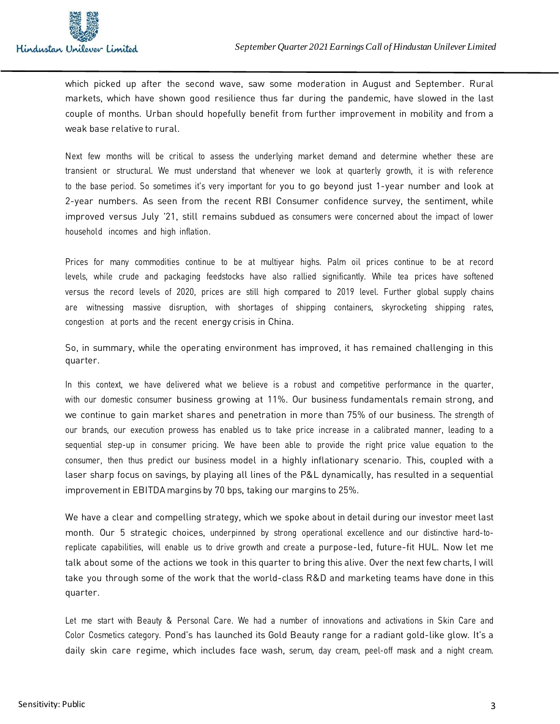which picked up after the second wave, saw some moderation in August and September. Rural markets, which have shown good resilience thus far during the pandemic, have slowed in the last couple of months. Urban should hopefully benefit from further improvement in mobility and from a weak base relative to rural.

Next few months will be critical to assess the underlying market demand and determine whether these are transient or structural. We must understand that whenever we look at quarterly growth, it is with reference to the base period. So sometimes it's very important for you to go beyond just 1-year number and look at 2-year numbers. As seen from the recent RBI Consumer confidence survey, the sentiment, while improved versus July '21, still remains subdued as consumers were concerned about the impact of lower household incomes and high inflation.

Prices for many commodities continue to be at multiyear highs. Palm oil prices continue to be at record levels, while crude and packaging feedstocks have also rallied significantly. While tea prices have softened versus the record levels of 2020, prices are still high compared to 2019 level. Further global supply chains are witnessing massive disruption, with shortages of shipping containers, skyrocketing shipping rates, congestion at ports and the recent energy crisis in China.

So, in summary, while the operating environment has improved, it has remained challenging in this quarter.

In this context, we have delivered what we believe is a robust and competitive performance in the quarter, with our domestic consumer business growing at 11%. Our business fundamentals remain strong, and we continue to gain market shares and penetration in more than 75% of our business. The strength of our brands, our execution prowess has enabled us to take price increase in a calibrated manner, leading to a sequential step-up in consumer pricing. We have been able to provide the right price value equation to the consumer, then thus predict our business model in a highly inflationary scenario. This, coupled with a laser sharp focus on savings, by playing all lines of the P&L dynamically, has resulted in a sequential improvement in EBITDA margins by 70 bps, taking our margins to 25%.

We have a clear and compelling strategy, which we spoke about in detail during our investor meet last month. Our 5 strategic choices, underpinned by strong operational excellence and our distinctive hard-toreplicate capabilities, will enable us to drive growth and create a purpose-led, future-fit HUL. Now let me talk about some of the actions we took in this quarter to bring this alive. Over the next few charts, I will take you through some of the work that the world-class R&D and marketing teams have done in this quarter.

Let me start with Beauty & Personal Care. We had a number of innovations and activations in Skin Care and Color Cosmetics category. Pond's has launched its Gold Beauty range for a radiant gold-like glow. It's a daily skin care regime, which includes face wash, serum, day cream, peel-off mask and a night cream.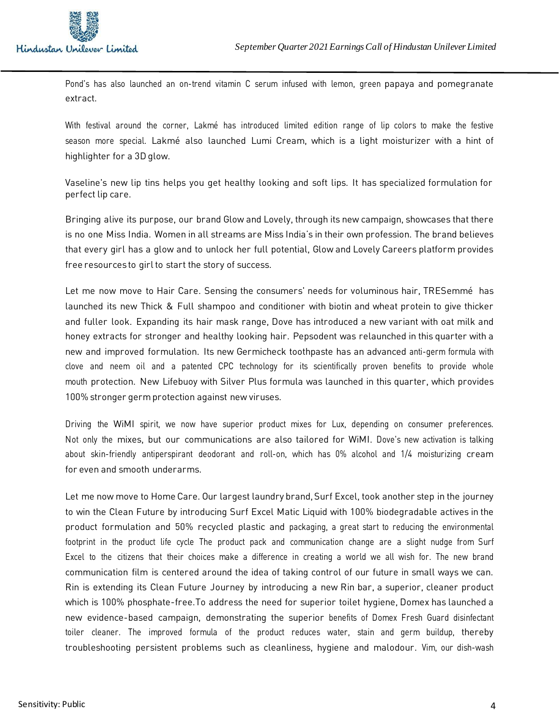

Pond's has also launched an on-trend vitamin C serum infused with lemon, green papaya and pomegranate extract.

With festival around the corner, Lakmé has introduced limited edition range of lip colors to make the festive season more special. Lakmé also launched Lumi Cream, which is a light moisturizer with a hint of highlighter for a 3D glow.

Vaseline's new lip tins helps you get healthy looking and soft lips. It has specialized formulation for perfect lip care.

Bringing alive its purpose, our brand Glow and Lovely, through its new campaign, showcases that there is no one Miss India. Women in all streams are Miss India's in their own profession. The brand believes that every girl has a glow and to unlock her full potential, Glow and Lovely Careers platform provides free resources to girl to start the story of success.

Let me now move to Hair Care. Sensing the consumers' needs for voluminous hair, TRESemmé has launched its new Thick & Full shampoo and conditioner with biotin and wheat protein to give thicker and fuller look. Expanding its hair mask range, Dove has introduced a new variant with oat milk and honey extracts for stronger and healthy looking hair. Pepsodent was relaunched in this quarter with a new and improved formulation. Its new Germicheck toothpaste has an advanced anti-germ formula with clove and neem oil and a patented CPC technology for its scientifically proven benefits to provide whole mouth protection. New Lifebuoy with Silver Plus formula was launched in this quarter, which provides 100% stronger germprotection against new viruses.

Driving the WiMI spirit, we now have superior product mixes for Lux, depending on consumer preferences. Not only the mixes, but our communications are also tailored for WiMI. Dove's new activation is talking about skin-friendly antiperspirant deodorant and roll-on, which has 0% alcohol and 1/4 moisturizing cream for even and smooth underarms.

Let me now move to Home Care. Our largest laundry brand, Surf Excel, took another step in the journey to win the Clean Future by introducing Surf Excel Matic Liquid with 100% biodegradable actives in the product formulation and 50% recycled plastic and packaging, a great start to reducing the environmental footprint in the product life cycle The product pack and communication change are a slight nudge from Surf Excel to the citizens that their choices make a difference in creating a world we all wish for. The new brand communication film is centered around the idea of taking control of our future in small ways we can. Rin is extending its Clean Future Journey by introducing a new Rin bar, a superior, cleaner product which is 100% phosphate-free.To address the need for superior toilet hygiene, Domex has launched a new evidence-based campaign, demonstrating the superior benefits of Domex Fresh Guard disinfectant toiler cleaner. The improved formula of the product reduces water, stain and germ buildup, thereby troubleshooting persistent problems such as cleanliness, hygiene and malodour. Vim, our dish-wash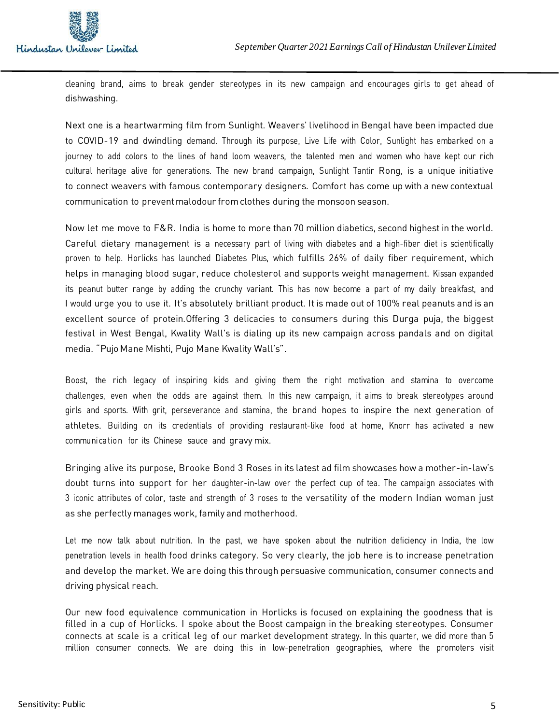cleaning brand, aims to break gender stereotypes in its new campaign and encourages girls to get ahead of dishwashing.

Next one is a heartwarming film from Sunlight. Weavers' livelihood in Bengal have been impacted due to COVID-19 and dwindling demand. Through its purpose, Live Life with Color, Sunlight has embarked on a journey to add colors to the lines of hand loom weavers, the talented men and women who have kept our rich cultural heritage alive for generations. The new brand campaign, Sunlight Tantir Rong, is a unique initiative to connect weavers with famous contemporary designers. Comfort has come up with a new contextual communication to prevent malodour from clothes during the monsoon season.

Now let me move to F&R. India is home to more than 70 million diabetics, second highest in the world. Careful dietary management is a necessary part of living with diabetes and a high-fiber diet is scientifically proven to help. Horlicks has launched Diabetes Plus, which fulfills 26% of daily fiber requirement, which helps in managing blood sugar, reduce cholesterol and supports weight management. Kissan expanded its peanut butter range by adding the crunchy variant. This has now become a part of my daily breakfast, and I would urge you to use it. It's absolutely brilliant product. It is made out of 100% real peanuts and is an excellent source of protein.Offering 3 delicacies to consumers during this Durga puja, the biggest festival in West Bengal, Kwality Wall's is dialing up its new campaign across pandals and on digital media. "Pujo Mane Mishti, Pujo Mane Kwality Wall's".

Boost, the rich legacy of inspiring kids and giving them the right motivation and stamina to overcome challenges, even when the odds are against them. In this new campaign, it aims to break stereotypes around girls and sports. With grit, perseverance and stamina, the brand hopes to inspire the next generation of athletes. Building on its credentials of providing restaurant-like food at home, Knorr has activated a new communication for its Chinese sauce and gravy mix.

Bringing alive its purpose, Brooke Bond 3 Roses in its latest ad film showcases how a mother-in-law's doubt turns into support for her daughter-in-law over the perfect cup of tea. The campaign associates with 3 iconic attributes of color, taste and strength of 3 roses to the versatility of the modern Indian woman just as she perfectly manages work, family and motherhood.

Let me now talk about nutrition. In the past, we have spoken about the nutrition deficiency in India, the low penetration levels in health food drinks category. So very clearly, the job here is to increase penetration and develop the market. We are doing this through persuasive communication, consumer connects and driving physical reach.

Our new food equivalence communication in Horlicks is focused on explaining the goodness that is filled in a cup of Horlicks. I spoke about the Boost campaign in the breaking stereotypes. Consumer connects at scale is a critical leg of our market development strategy. In this quarter, we did more than 5 million consumer connects. We are doing this in low-penetration geographies, where the promoters visit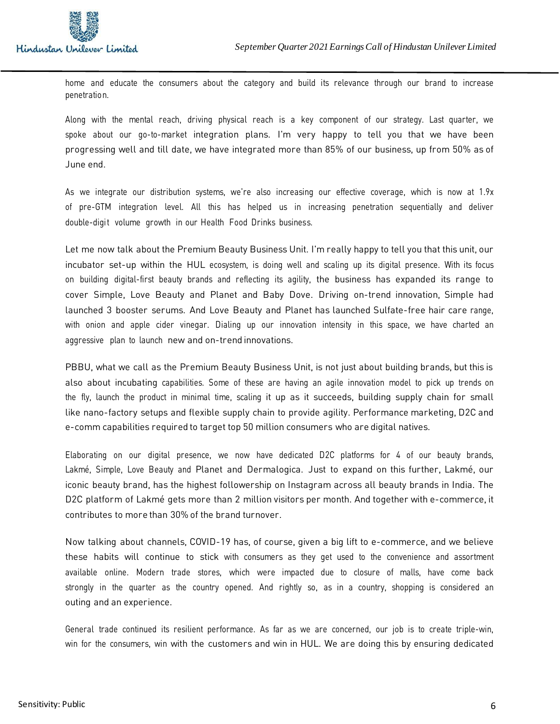home and educate the consumers about the category and build its relevance through our brand to increase penetration.

Along with the mental reach, driving physical reach is a key component of our strategy. Last quarter, we spoke about our go-to-market integration plans. I'm very happy to tell you that we have been progressing well and till date, we have integrated more than 85% of our business, up from 50% as of June end.

As we integrate our distribution systems, we're also increasing our effective coverage, which is now at 1.9x of pre-GTM integration level. All this has helped us in increasing penetration sequentially and deliver double-digit volume growth in our Health Food Drinks business.

Let me now talk about the Premium Beauty Business Unit. I'm really happy to tell you that this unit, our incubator set-up within the HUL ecosystem, is doing well and scaling up its digital presence. With its focus on building digital-first beauty brands and reflecting its agility, the business has expanded its range to cover Simple, Love Beauty and Planet and Baby Dove. Driving on-trend innovation, Simple had launched 3 booster serums. And Love Beauty and Planet has launched Sulfate-free hair care range, with onion and apple cider vinegar. Dialing up our innovation intensity in this space, we have charted an aggressive plan to launch new and on-trend innovations.

PBBU, what we call as the Premium Beauty Business Unit, is not just about building brands, but this is also about incubating capabilities. Some of these are having an agile innovation model to pick up trends on the fly, launch the product in minimal time, scaling it up as it succeeds, building supply chain for small like nano-factory setups and flexible supply chain to provide agility. Performance marketing, D2C and e-comm capabilities required to target top 50 million consumers who are digital natives.

Elaborating on our digital presence, we now have dedicated D2C platforms for 4 of our beauty brands, Lakmé, Simple, Love Beauty and Planet and Dermalogica. Just to expand on this further, Lakmé, our iconic beauty brand, has the highest followership on Instagram across all beauty brands in India. The D2C platform of Lakmé gets more than 2 million visitors per month. And together with e-commerce, it contributes to more than 30% of the brand turnover.

Now talking about channels, COVID-19 has, of course, given a big lift to e-commerce, and we believe these habits will continue to stick with consumers as they get used to the convenience and assortment available online. Modern trade stores, which were impacted due to closure of malls, have come back strongly in the quarter as the country opened. And rightly so, as in a country, shopping is considered an outing and an experience.

General trade continued its resilient performance. As far as we are concerned, our job is to create triple-win, win for the consumers, win with the customers and win in HUL. We are doing this by ensuring dedicated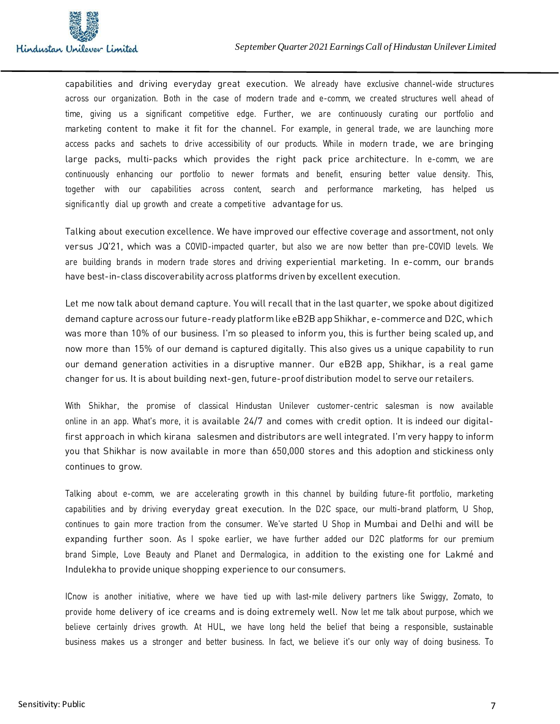capabilities and driving everyday great execution. We already have exclusive channel-wide structures across our organization. Both in the case of modern trade and e-comm, we created structures well ahead of time, giving us a significant competitive edge. Further, we are continuously curating our portfolio and marketing content to make it fit for the channel. For example, in general trade, we are launching more access packs and sachets to drive accessibility of our products. While in modern trade, we are bringing large packs, multi-packs which provides the right pack price architecture. In e-comm, we are continuously enhancing our portfolio to newer formats and benefit, ensuring better value density. This, together with our capabilities across content, search and performance marketing, has helped us significantly dial up growth and create a competitive advantage for us.

Talking about execution excellence. We have improved our effective coverage and assortment, not only versus JQ'21, which was a COVID-impacted quarter, but also we are now better than pre-COVID levels. We are building brands in modern trade stores and driving experiential marketing. In e-comm, our brands have best-in-class discoverability across platforms driven by excellent execution.

Let me now talk about demand capture. You will recall that in the last quarter, we spoke about digitized demand capture acrossour future-ready platformlike eB2B app Shikhar, e-commerce and D2C, which was more than 10% of our business. I'm so pleased to inform you, this is further being scaled up, and now more than 15% of our demand is captured digitally. This also gives us a unique capability to run our demand generation activities in a disruptive manner. Our eB2B app, Shikhar, is a real game changer for us. It is about building next-gen, future-proof distribution model to serve our retailers.

With Shikhar, the promise of classical Hindustan Unilever customer-centric salesman is now available online in an app. What's more, it is available 24/7 and comes with credit option. It is indeed our digitalfirst approach in which kirana salesmen and distributors are well integrated. I'm very happy to inform you that Shikhar is now available in more than 650,000 stores and this adoption and stickiness only continues to grow.

Talking about e-comm, we are accelerating growth in this channel by building future-fit portfolio, marketing capabilities and by driving everyday great execution. In the D2C space, our multi-brand platform, U Shop, continues to gain more traction from the consumer. We've started U Shop in Mumbai and Delhi and will be expanding further soon. As I spoke earlier, we have further added our D2C platforms for our premium brand Simple, Love Beauty and Planet and Dermalogica, in addition to the existing one for Lakmé and Indulekha to provide unique shopping experience to our consumers.

ICnow is another initiative, where we have tied up with last-mile delivery partners like Swiggy, Zomato, to provide home delivery of ice creams and is doing extremely well. Now let me talk about purpose, which we believe certainly drives growth. At HUL, we have long held the belief that being a responsible, sustainable business makes us a stronger and better business. In fact, we believe it's our only way of doing business. To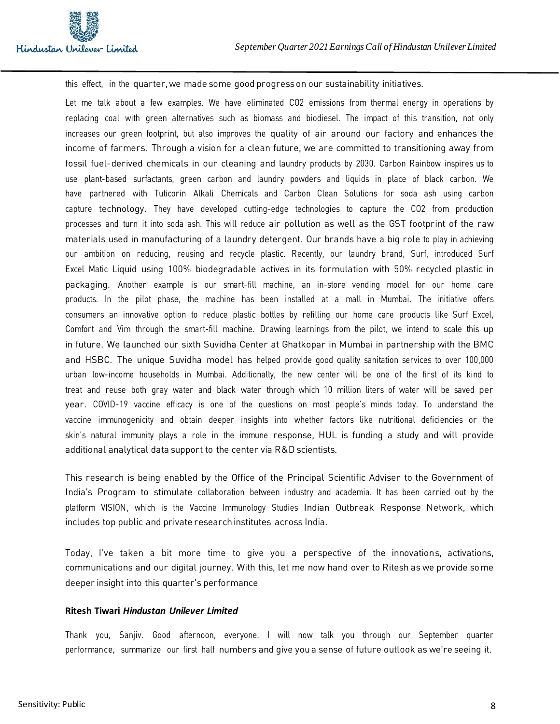

this effect, in the quarter,we made some good progresson our sustainability initiatives.

Let me talk about a few examples. We have eliminated CO2 emissions from thermal energy in operations by replacing coal with green alternatives such as biomass and biodiesel. The impact of this transition, not only increases our green footprint, but also improves the quality of air around our factory and enhances the income of farmers. Through a vision for a clean future, we are committed to transitioning away from fossil fuel-derived chemicals in our cleaning and laundry products by 2030. Carbon Rainbow inspires us to use plant-based surfactants, green carbon and laundry powders and liquids in place of black carbon. We have partnered with Tuticorin Alkali Chemicals and Carbon Clean Solutions for soda ash using carbon capture technology. They have developed cutting-edge technologies to capture the CO2 from production processes and turn it into soda ash. This will reduce air pollution as well as the GST footprint of the raw materials used in manufacturing of a laundry detergent. Our brands have a big role to play in achieving our ambition on reducing, reusing and recycle plastic. Recently, our laundry brand, Surf, introduced Surf Excel Matic Liquid using 100% biodegradable actives in its formulation with 50% recycled plastic in packaging. Another example is our smart-fill machine, an in-store vending model for our home care products. In the pilot phase, the machine has been installed at a mall in Mumbai. The initiative offers consumers an innovative option to reduce plastic bottles by refilling our home care products like Surf Excel, Comfort and Vim through the smart-fill machine. Drawing learnings from the pilot, we intend to scale this up in future. We launched our sixth Suvidha Center at Ghatkopar in Mumbai in partnership with the BMC and HSBC. The unique Suvidha model has helped provide good quality sanitation services to over 100,000 urban low-income households in Mumbai. Additionally, the new center will be one of the first of its kind to treat and reuse both gray water and black water through which 10 million liters of water will be saved per year. COVID-19 vaccine efficacy is one of the questions on most people's minds today. To understand the vaccine immunogenicity and obtain deeper insights into whether factors like nutritional deficiencies or the skin's natural immunity plays a role in the immune response, HUL is funding a study and will provide additional analytical data support to the center via R&D scientists.

This research is being enabled by the Office of the Principal Scientific Adviser to the Government of India's Program to stimulate collaboration between industry and academia. It has been carried out by the platform VISION, which is the Vaccine Immunology Studies Indian Outbreak Response Network, which includes top public and private research institutes across India.

Today, I've taken a bit more time to give you a perspective of the innovations, activations, communications and our digital journey. With this, let me now hand over to Ritesh as we provide some deeper insight into this quarter's performance

## **Ritesh Tiwari** *Hindustan Unilever Limited*

Thank you, Sanjiv. Good afternoon, everyone. I will now talk you through our September quarter performance, summarize our first half numbers and give youa sense of future outlook as we're seeing it.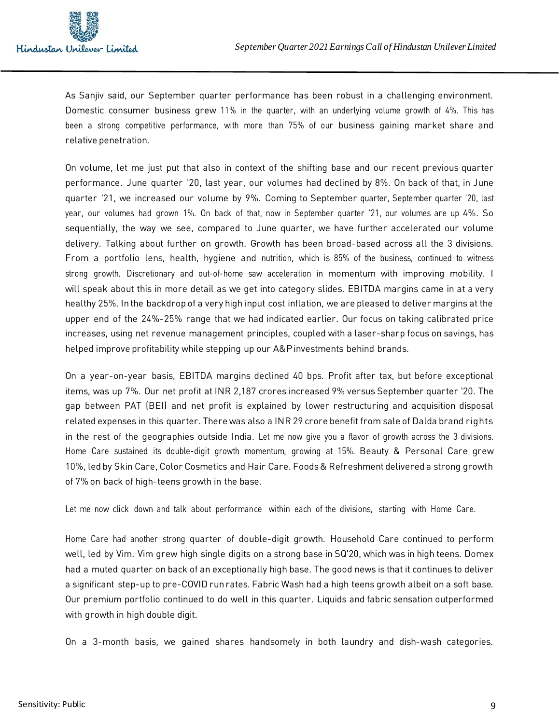

As Sanjiv said, our September quarter performance has been robust in a challenging environment. Domestic consumer business grew 11% in the quarter, with an underlying volume growth of 4%. This has been a strong competitive performance, with more than 75% of our business gaining market share and relative penetration.

On volume, let me just put that also in context of the shifting base and our recent previous quarter performance. June quarter '20, last year, our volumes had declined by 8%. On back of that, in June quarter '21, we increased our volume by 9%. Coming to September quarter, September quarter '20, last year, our volumes had grown 1%. On back of that, now in September quarter '21, our volumes are up 4%. So sequentially, the way we see, compared to June quarter, we have further accelerated our volume delivery. Talking about further on growth. Growth has been broad-based across all the 3 divisions. From a portfolio lens, health, hygiene and nutrition, which is 85% of the business, continued to witness strong growth. Discretionary and out-of-home saw acceleration in momentum with improving mobility. I will speak about this in more detail as we get into category slides. EBITDA margins came in at a very healthy 25%. Inthe backdrop of a very high input cost inflation, we are pleased to deliver margins at the upper end of the 24%-25% range that we had indicated earlier. Our focus on taking calibrated price increases, using net revenue management principles, coupled with a laser-sharp focus on savings, has helped improve profitability while stepping up our A&P investments behind brands.

On a year-on-year basis, EBITDA margins declined 40 bps. Profit after tax, but before exceptional items, was up 7%. Our net profit at INR 2,187 crores increased 9% versus September quarter '20. The gap between PAT (BEI) and net profit is explained by lower restructuring and acquisition disposal related expenses in this quarter. There was also a INR 29 crore benefit from sale of Dalda brand rights in the rest of the geographies outside India. Let me now give you a flavor of growth across the 3 divisions. Home Care sustained its double-digit growth momentum, growing at 15%. Beauty & Personal Care grew 10%, led by Skin Care, Color Cosmetics and Hair Care. Foods& Refreshment delivered a strong growth of 7% on back of high-teens growth in the base.

Let me now click down and talk about performance within each of the divisions, starting with Home Care.

Home Care had another strong quarter of double-digit growth. Household Care continued to perform well, led by Vim. Vim grew high single digits on a strong base in SQ'20, which was in high teens. Domex had a muted quarter on back of an exceptionally high base. The good news is that it continues to deliver a significant step-up to pre-COVID runrates. Fabric Wash had a high teens growth albeit on a soft base. Our premium portfolio continued to do well in this quarter. Liquids and fabric sensation outperformed with growth in high double digit.

On a 3-month basis, we gained shares handsomely in both laundry and dish-wash categories.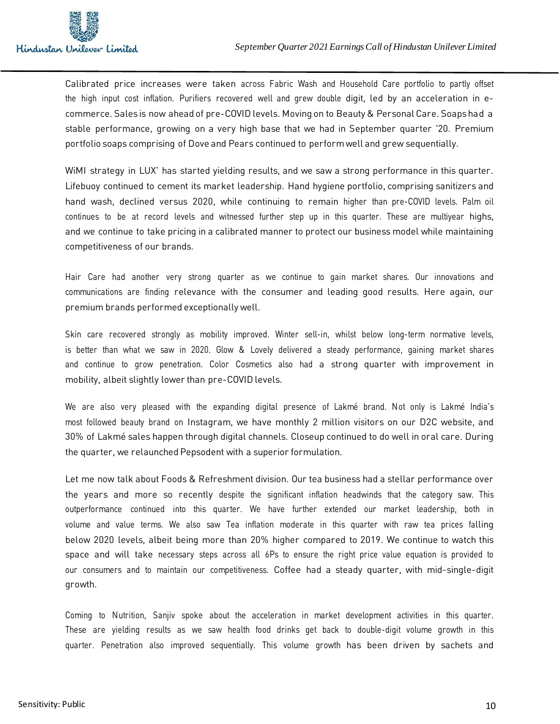

Calibrated price increases were taken across Fabric Wash and Household Care portfolio to partly offset the high input cost inflation. Purifiers recovered well and grew double digit, led by an acceleration in ecommerce. Sales is now ahead of pre-COVID levels. Moving on to Beauty & Personal Care. Soapshad a stable performance, growing on a very high base that we had in September quarter '20. Premium portfolio soaps comprising of Dove and Pears continued to performwell and grew sequentially.

WiMI strategy in LUX' has started yielding results, and we saw a strong performance in this quarter. Lifebuoy continued to cement its market leadership. Hand hygiene portfolio, comprising sanitizers and hand wash, declined versus 2020, while continuing to remain higher than pre-COVID levels. Palm oil continues to be at record levels and witnessed further step up in this quarter. These are multiyear highs, and we continue to take pricing in a calibrated manner to protect our business model while maintaining competitiveness of our brands.

Hair Care had another very strong quarter as we continue to gain market shares. Our innovations and communications are finding relevance with the consumer and leading good results. Here again, our premium brands performed exceptionally well.

Skin care recovered strongly as mobility improved. Winter sell-in, whilst below long-term normative levels, is better than what we saw in 2020. Glow & Lovely delivered a steady performance, gaining market shares and continue to grow penetration. Color Cosmetics also had a strong quarter with improvement in mobility, albeit slightly lower than pre-COVID levels.

We are also very pleased with the expanding digital presence of Lakmé brand. Not only is Lakmé India's most followed beauty brand on Instagram, we have monthly 2 million visitors on our D2C website, and 30% of Lakmé sales happen through digital channels. Closeup continued to do well in oral care. During the quarter, we relaunched Pepsodent with a superior formulation.

Let me now talk about Foods & Refreshment division. Our tea business had a stellar performance over the years and more so recently despite the significant inflation headwinds that the category saw. This outperformance continued into this quarter. We have further extended our market leadership, both in volume and value terms. We also saw Tea inflation moderate in this quarter with raw tea prices falling below 2020 levels, albeit being more than 20% higher compared to 2019. We continue to watch this space and will take necessary steps across all 6Ps to ensure the right price value equation is provided to our consumers and to maintain our competitiveness. Coffee had a steady quarter, with mid-single-digit growth.

Coming to Nutrition, Sanjiv spoke about the acceleration in market development activities in this quarter. These are yielding results as we saw health food drinks get back to double-digit volume growth in this quarter. Penetration also improved sequentially. This volume growth has been driven by sachets and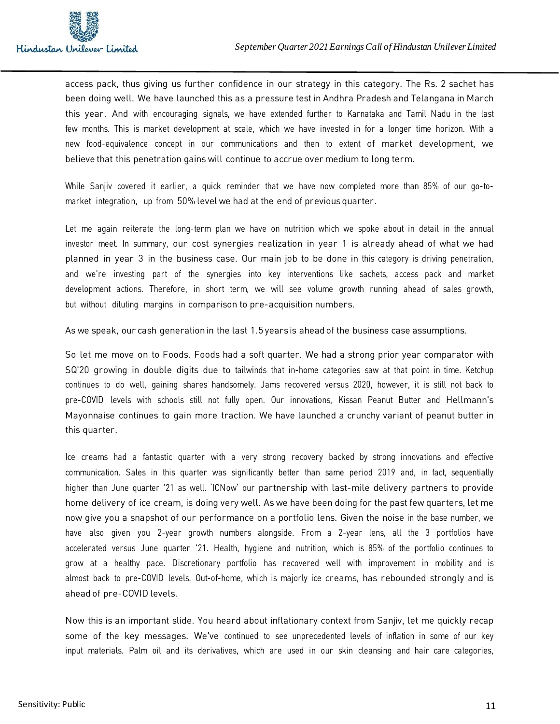

access pack, thus giving us further confidence in our strategy in this category. The Rs. 2 sachet has been doing well. We have launched this as a pressure test in Andhra Pradesh and Telangana in March this year. And with encouraging signals, we have extended further to Karnataka and Tamil Nadu in the last few months. This is market development at scale, which we have invested in for a longer time horizon. With a new food-equivalence concept in our communications and then to extent of market development, we believe that this penetration gains will continue to accrue over medium to long term.

While Sanjiv covered it earlier, a quick reminder that we have now completed more than 85% of our go-tomarket integration, up from 50% level we had at the end of previousquarter.

Let me again reiterate the long-term plan we have on nutrition which we spoke about in detail in the annual investor meet. In summary, our cost synergies realization in year 1 is already ahead of what we had planned in year 3 in the business case. Our main job to be done in this category is driving penetration, and we're investing part of the synergies into key interventions like sachets, access pack and market development actions. Therefore, in short term, we will see volume growth running ahead of sales growth, but without diluting margins in comparison to pre-acquisition numbers.

As we speak, our cash generation in the last 1.5 years is ahead of the business case assumptions.

So let me move on to Foods. Foods had a soft quarter. We had a strong prior year comparator with SQ'20 growing in double digits due to tailwinds that in-home categories saw at that point in time. Ketchup continues to do well, gaining shares handsomely. Jams recovered versus 2020, however, it is still not back to pre-COVID levels with schools still not fully open. Our innovations, Kissan Peanut Butter and Hellmann's Mayonnaise continues to gain more traction. We have launched a crunchy variant of peanut butter in this quarter.

Ice creams had a fantastic quarter with a very strong recovery backed by strong innovations and effective communication. Sales in this quarter was significantly better than same period 2019 and, in fact, sequentially higher than June quarter '21 as well. 'ICNow' our partnership with last-mile delivery partners to provide home delivery of ice cream, is doing very well. As we have been doing for the past few quarters, let me now give you a snapshot of our performance on a portfolio lens. Given the noise in the base number, we have also given you 2-year growth numbers alongside. From a 2-year lens, all the 3 portfolios have accelerated versus June quarter '21. Health, hygiene and nutrition, which is 85% of the portfolio continues to grow at a healthy pace. Discretionary portfolio has recovered well with improvement in mobility and is almost back to pre-COVID levels. Out-of-home, which is majorly ice creams, has rebounded strongly and is ahead of pre-COVID levels.

Now this is an important slide. You heard about inflationary context from Sanjiv, let me quickly recap some of the key messages. We've continued to see unprecedented levels of inflation in some of our key input materials. Palm oil and its derivatives, which are used in our skin cleansing and hair care categories,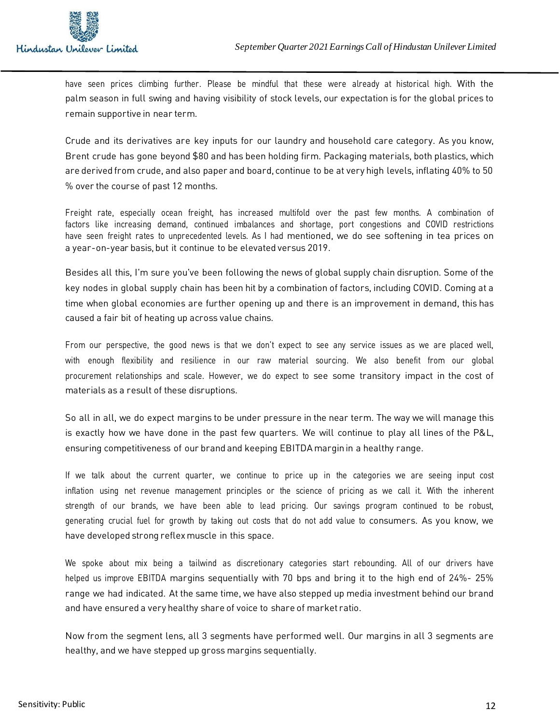



have seen prices climbing further. Please be mindful that these were already at historical high. With the palm season in full swing and having visibility of stock levels, our expectation is for the global prices to remain supportive in near term.

Crude and its derivatives are key inputs for our laundry and household care category. As you know, Brent crude has gone beyond \$80 and has been holding firm. Packaging materials, both plastics, which are derived from crude, and also paper and board, continue to be at very high levels, inflating 40% to 50 % over the course of past 12 months.

Freight rate, especially ocean freight, has increased multifold over the past few months. A combination of factors like increasing demand, continued imbalances and shortage, port congestions and COVID restrictions have seen freight rates to unprecedented levels. As I had mentioned, we do see softening in tea prices on a year-on-year basis,but it continue to be elevated versus 2019.

Besides all this, I'm sure you've been following the news of global supply chain disruption. Some of the key nodes in global supply chain has been hit by a combination of factors, including COVID. Coming at a time when global economies are further opening up and there is an improvement in demand, this has caused a fair bit of heating up across value chains.

From our perspective, the good news is that we don't expect to see any service issues as we are placed well, with enough flexibility and resilience in our raw material sourcing. We also benefit from our global procurement relationships and scale. However, we do expect to see some transitory impact in the cost of materials as a result of these disruptions.

So all in all, we do expect margins to be under pressure in the near term. The way we will manage this is exactly how we have done in the past few quarters. We will continue to play all lines of the P&L, ensuring competitiveness of our brand and keeping EBITDA marginin a healthy range.

If we talk about the current quarter, we continue to price up in the categories we are seeing input cost inflation using net revenue management principles or the science of pricing as we call it. With the inherent strength of our brands, we have been able to lead pricing. Our savings program continued to be robust, generating crucial fuel for growth by taking out costs that do not add value to consumers. As you know, we have developed strong reflex muscle in this space.

We spoke about mix being a tailwind as discretionary categories start rebounding. All of our drivers have helped us improve EBITDA margins sequentially with 70 bps and bring it to the high end of 24%- 25% range we had indicated. At the same time, we have also stepped up media investment behind our brand and have ensured a very healthy share of voice to share of market ratio.

Now from the segment lens, all 3 segments have performed well. Our margins in all 3 segments are healthy, and we have stepped up gross margins sequentially.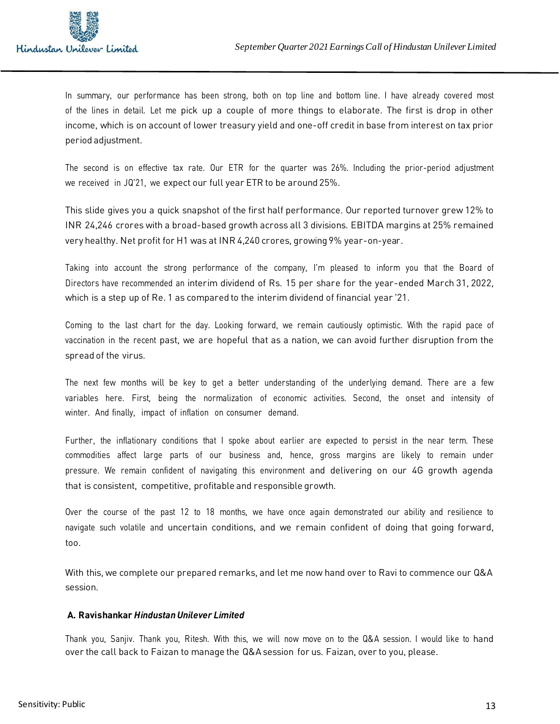

In summary, our performance has been strong, both on top line and bottom line. I have already covered most of the lines in detail. Let me pick up a couple of more things to elaborate. The first is drop in other income, which is on account of lower treasury yield and one-off credit in base from interest on tax prior period adjustment.

The second is on effective tax rate. Our ETR for the quarter was 26%. Including the prior-period adjustment we received in JQ'21, we expect our full year ETR to be around 25%.

This slide gives you a quick snapshot of the first half performance. Our reported turnover grew 12% to INR 24,246 crores with a broad-based growth across all 3 divisions. EBITDA margins at 25% remained very healthy. Net profit for H1 was at INR 4,240 crores, growing 9% year-on-year.

Taking into account the strong performance of the company, I'm pleased to inform you that the Board of Directors have recommended an interim dividend of Rs. 15 per share for the year-ended March 31, 2022, which is a step up of Re. 1 as compared to the interim dividend of financial year '21.

Coming to the last chart for the day. Looking forward, we remain cautiously optimistic. With the rapid pace of vaccination in the recent past, we are hopeful that as a nation, we can avoid further disruption from the spread of the virus.

The next few months will be key to get a better understanding of the underlying demand. There are a few variables here. First, being the normalization of economic activities. Second, the onset and intensity of winter. And finally, impact of inflation on consumer demand.

Further, the inflationary conditions that I spoke about earlier are expected to persist in the near term. These commodities affect large parts of our business and, hence, gross margins are likely to remain under pressure. We remain confident of navigating this environment and delivering on our 4G growth agenda that is consistent, competitive, profitable and responsible growth.

Over the course of the past 12 to 18 months, we have once again demonstrated our ability and resilience to navigate such volatile and uncertain conditions, and we remain confident of doing that going forward, too.

With this, we complete our prepared remarks, and let me now hand over to Ravi to commence our Q&A session.

# **A. Ravishankar** *Hindustan Unilever Limited*

Thank you, Sanjiv. Thank you, Ritesh. With this, we will now move on to the Q&A session. I would like to hand over the call back to Faizan to manage the Q&A session for us. Faizan, over to you, please.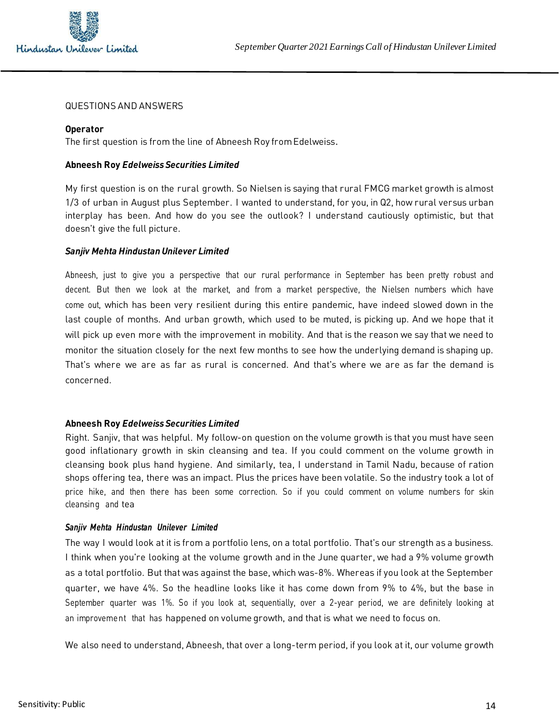

# QUESTIONS AND ANSWERS

## **Operator**

The first question is from the line of Abneesh Roy from Edelweiss.

## **Abneesh Roy** *Edelweiss Securities Limited*

My first question is on the rural growth. So Nielsen is saying that rural FMCG market growth is almost 1/3 of urban in August plus September. I wanted to understand, for you, in Q2, how rural versus urban interplay has been. And how do you see the outlook? I understand cautiously optimistic, but that doesn't give the full picture.

## *Sanjiv Mehta Hindustan Unilever Limited*

Abneesh, just to give you a perspective that our rural performance in September has been pretty robust and decent. But then we look at the market, and from a market perspective, the Nielsen numbers which have come out, which has been very resilient during this entire pandemic, have indeed slowed down in the last couple of months. And urban growth, which used to be muted, is picking up. And we hope that it will pick up even more with the improvement in mobility. And that is the reason we say that we need to monitor the situation closely for the next few months to see how the underlying demand is shaping up. That's where we are as far as rural is concerned. And that's where we are as far the demand is concerned.

## **Abneesh Roy** *Edelweiss Securities Limited*

Right. Sanjiv, that was helpful. My follow-on question on the volume growth is that you must have seen good inflationary growth in skin cleansing and tea. If you could comment on the volume growth in cleansing book plus hand hygiene. And similarly, tea, I understand in Tamil Nadu, because of ration shops offering tea, there was an impact. Plus the prices have been volatile. So the industry took a lot of price hike, and then there has been some correction. So if you could comment on volume numbers for skin cleansing and tea

## *Sanjiv Mehta Hindustan Unilever Limited*

The way I would look at it is from a portfolio lens, on a total portfolio. That's our strength as a business. I think when you're looking at the volume growth and in the June quarter, we had a 9% volume growth as a total portfolio. But that was against the base, which was-8%. Whereas if you look at the September quarter, we have 4%. So the headline looks like it has come down from 9% to 4%, but the base in September quarter was 1%. So if you look at, sequentially, over a 2-year period, we are definitely looking at an improvement that has happened on volume growth, and that is what we need to focus on.

We also need to understand, Abneesh, that over a long-term period, if you look at it, our volume growth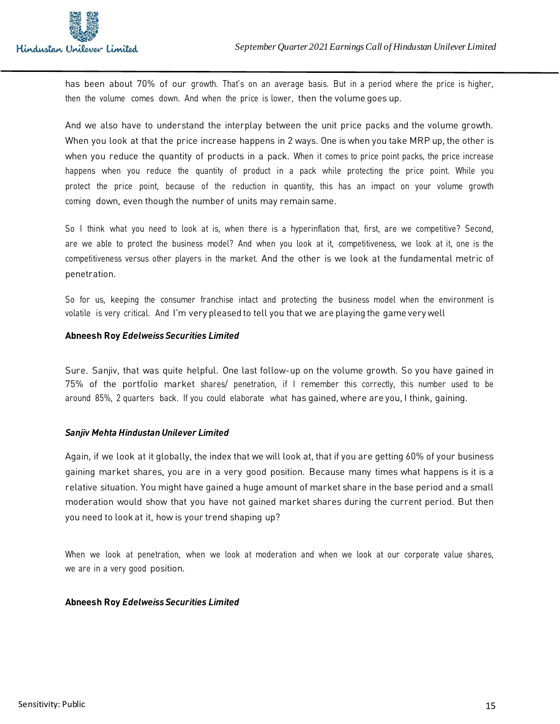has been about 70% of our growth. That's on an average basis. But in a period where the price is higher, then the volume comes down. And when the price is lower, then the volume goes up.

And we also have to understand the interplay between the unit price packs and the volume growth. When you look at that the price increase happens in 2 ways. One is when you take MRP up, the other is when you reduce the quantity of products in a pack. When it comes to price point packs, the price increase happens when you reduce the quantity of product in a pack while protecting the price point. While you protect the price point, because of the reduction in quantity, this has an impact on your volume growth coming down, even though the number of units may remainsame.

So I think what you need to look at is, when there is a hyperinflation that, first, are we competitive? Second, are we able to protect the business model? And when you look at it, competitiveness, we look at it, one is the competitiveness versus other players in the market. And the other is we look at the fundamental metric of penetration.

So for us, keeping the consumer franchise intact and protecting the business model when the environment is volatile is very critical. And I'm very pleased to tell you that we are playing the game very well

## **Abneesh Roy** *Edelweiss Securities Limited*

Sure. Sanjiv, that was quite helpful. One last follow-up on the volume growth. So you have gained in 75% of the portfolio market shares/ penetration, if I remember this correctly, this number used to be around 85%, 2 quarters back. If you could elaborate what has gained, where are you, I think, gaining.

# *Sanjiv Mehta Hindustan Unilever Limited*

Again, if we look at it globally, the index that we will look at, that if you are getting 60% of your business gaining market shares, you are in a very good position. Because many times what happens is it is a relative situation. You might have gained a huge amount of market share in the base period and a small moderation would show that you have not gained market shares during the current period. But then you need to look at it, how is your trend shaping up?

When we look at penetration, when we look at moderation and when we look at our corporate value shares, we are in a very good position.

## **Abneesh Roy** *Edelweiss Securities Limited*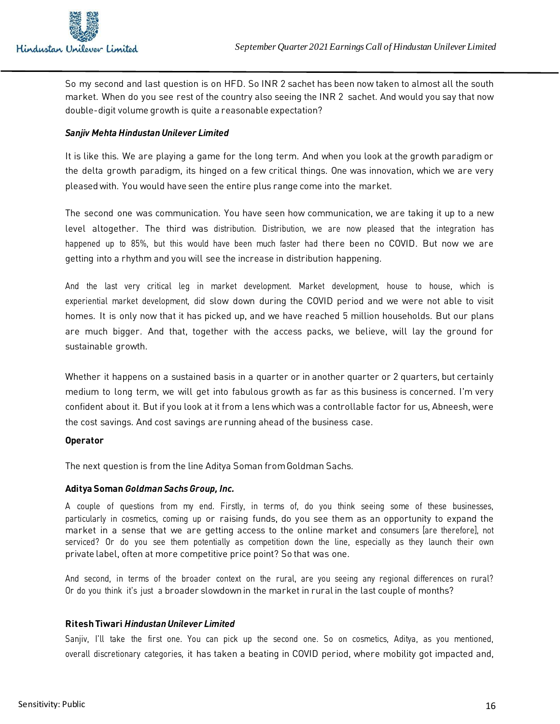

So my second and last question is on HFD. So INR 2 sachet has been now taken to almost all the south market. When do you see rest of the country also seeing the INR 2 sachet. And would you say that now double-digit volume growth is quite a reasonable expectation?

# *Sanjiv Mehta Hindustan Unilever Limited*

It is like this. We are playing a game for the long term. And when you look at the growth paradigm or the delta growth paradigm, its hinged on a few critical things. One was innovation, which we are very pleased with. You would have seen the entire plus range come into the market.

The second one was communication. You have seen how communication, we are taking it up to a new level altogether. The third was distribution. Distribution, we are now pleased that the integration has happened up to 85%, but this would have been much faster had there been no COVID. But now we are getting into a rhythm and you will see the increase in distribution happening.

And the last very critical leg in market development. Market development, house to house, which is experiential market development, did slow down during the COVID period and we were not able to visit homes. It is only now that it has picked up, and we have reached 5 million households. But our plans are much bigger. And that, together with the access packs, we believe, will lay the ground for sustainable growth.

Whether it happens on a sustained basis in a quarter or in another quarter or 2 quarters, but certainly medium to long term, we will get into fabulous growth as far as this business is concerned. I'm very confident about it. But if you look at it from a lens which was a controllable factor for us, Abneesh, were the cost savings. And cost savings are running ahead of the business case.

# **Operator**

The next question is from the line Aditya Soman from Goldman Sachs.

# **Aditya Soman** *Goldman Sachs Group, Inc.*

A couple of questions from my end. Firstly, in terms of, do you think seeing some of these businesses, particularly in cosmetics, coming up or raising funds, do you see them as an opportunity to expand the market in a sense that we are getting access to the online market and consumers [are therefore], not serviced? Or do you see them potentially as competition down the line, especially as they launch their own private label, often at more competitive price point? So that was one.

And second, in terms of the broader context on the rural, are you seeing any regional differences on rural? Or do you think it's just a broader slowdown in the market in rural in the last couple of months?

# **Ritesh Tiwari** *Hindustan Unilever Limited*

Sanjiv, I'll take the first one. You can pick up the second one. So on cosmetics, Aditya, as you mentioned, overall discretionary categories, it has taken a beating in COVID period, where mobility got impacted and,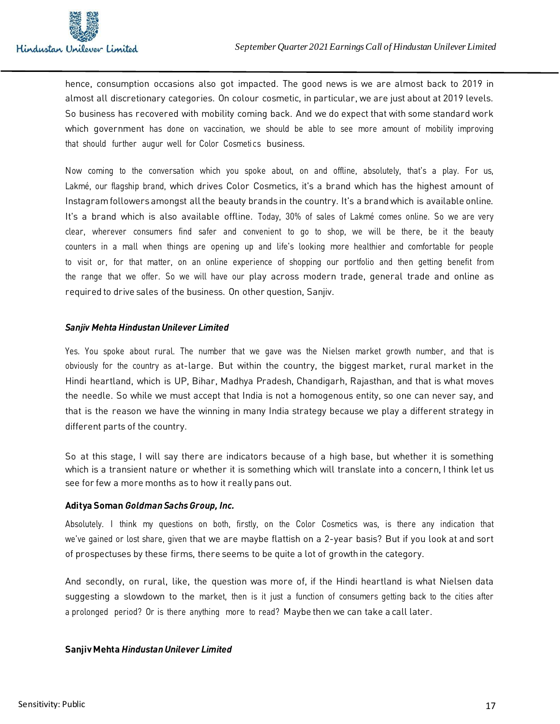

hence, consumption occasions also got impacted. The good news is we are almost back to 2019 in almost all discretionary categories. On colour cosmetic, in particular, we are just about at 2019 levels. So business has recovered with mobility coming back. And we do expect that with some standard work which government has done on vaccination, we should be able to see more amount of mobility improving that should further augur well for Color Cosmetics business.

Now coming to the conversation which you spoke about, on and offline, absolutely, that's a play. For us, Lakmé, our flagship brand, which drives Color Cosmetics, it's a brand which has the highest amount of Instagramfollowers amongst all the beauty brands in the country. It's a brand which is available online. It's a brand which is also available offline. Today, 30% of sales of Lakmé comes online. So we are very clear, wherever consumers find safer and convenient to go to shop, we will be there, be it the beauty counters in a mall when things are opening up and life's looking more healthier and comfortable for people to visit or, for that matter, on an online experience of shopping our portfolio and then getting benefit from the range that we offer. So we will have our play across modern trade, general trade and online as required to drive sales of the business. On other question, Sanjiv.

## *Sanjiv Mehta Hindustan Unilever Limited*

Yes. You spoke about rural. The number that we gave was the Nielsen market growth number, and that is obviously for the country as at-large. But within the country, the biggest market, rural market in the Hindi heartland, which is UP, Bihar, Madhya Pradesh, Chandigarh, Rajasthan, and that is what moves the needle. So while we must accept that India is not a homogenous entity, so one can never say, and that is the reason we have the winning in many India strategy because we play a different strategy in different parts of the country.

So at this stage, I will say there are indicators because of a high base, but whether it is something which is a transient nature or whether it is something which will translate into a concern, I think let us see for few a more months as to how it really pans out.

# **Aditya Soman** *Goldman Sachs Group, Inc.*

Absolutely. I think my questions on both, firstly, on the Color Cosmetics was, is there any indication that we've gained or lost share, given that we are maybe flattish on a 2-year basis? But if you look at and sort of prospectuses by these firms, there seems to be quite a lot of growthin the category.

And secondly, on rural, like, the question was more of, if the Hindi heartland is what Nielsen data suggesting a slowdown to the market, then is it just a function of consumers getting back to the cities after a prolonged period? Or is there anything more to read? Maybe then we can take a call later.

## **Sanjiv Mehta** *Hindustan Unilever Limited*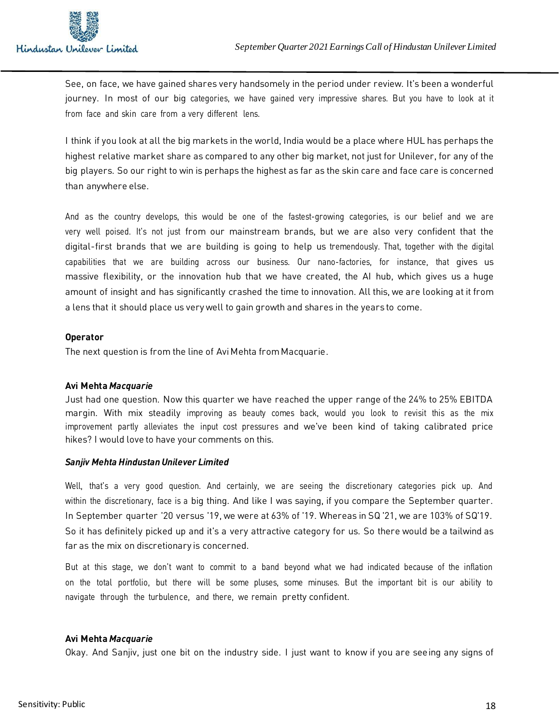

See, on face, we have gained shares very handsomely in the period under review. It's been a wonderful journey. In most of our big categories, we have gained very impressive shares. But you have to look at it from face and skin care from a very different lens.

I think if you look at all the big markets in the world, India would be a place where HUL has perhaps the highest relative market share as compared to any other big market, not just for Unilever, for any of the big players. So our right to win is perhaps the highest as far as the skin care and face care is concerned than anywhere else.

And as the country develops, this would be one of the fastest-growing categories, is our belief and we are very well poised. It's not just from our mainstream brands, but we are also very confident that the digital-first brands that we are building is going to help us tremendously. That, together with the digital capabilities that we are building across our business. Our nano-factories, for instance, that gives us massive flexibility, or the innovation hub that we have created, the AI hub, which gives us a huge amount of insight and has significantly crashed the time to innovation. All this, we are looking at it from a lens that it should place us very well to gain growth and shares in the years to come.

## **Operator**

The next question is from the line of Avi Mehta from Macquarie.

## **Avi Mehta** *Macquarie*

Just had one question. Now this quarter we have reached the upper range of the 24% to 25% EBITDA margin. With mix steadily improving as beauty comes back, would you look to revisit this as the mix improvement partly alleviates the input cost pressures and we've been kind of taking calibrated price hikes? I would love to have your comments on this.

## *Sanjiv Mehta Hindustan Unilever Limited*

Well, that's a very good question. And certainly, we are seeing the discretionary categories pick up. And within the discretionary, face is a big thing. And like I was saying, if you compare the September quarter. In September quarter '20 versus '19, we were at 63% of '19. Whereas in SQ '21, we are 103% of SQ'19. So it has definitely picked up and it's a very attractive category for us. So there would be a tailwind as far as the mix on discretionary is concerned.

But at this stage, we don't want to commit to a band beyond what we had indicated because of the inflation on the total portfolio, but there will be some pluses, some minuses. But the important bit is our ability to navigate through the turbulence, and there, we remain pretty confident.

## **Avi Mehta** *Macquarie*

Okay. And Sanjiv, just one bit on the industry side. I just want to know if you are seeing any signs of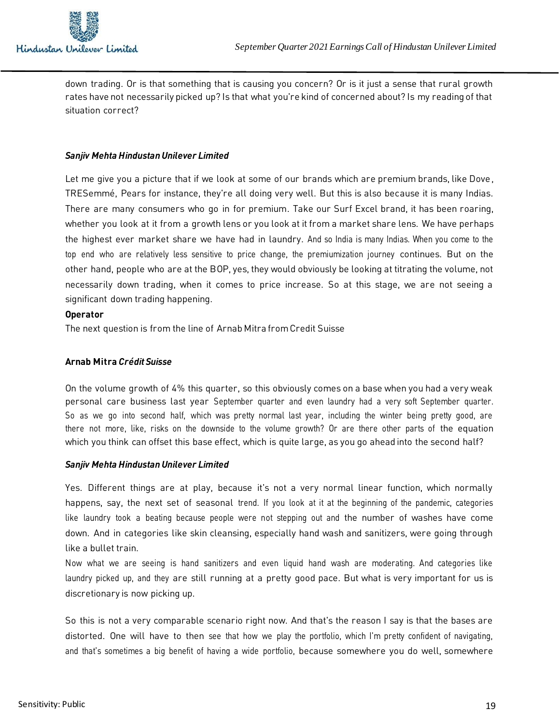

down trading. Or is that something that is causing you concern? Or is it just a sense that rural growth rates have not necessarily picked up? Is that what you're kind of concerned about? Is my reading of that situation correct?

# *Sanjiv Mehta Hindustan Unilever Limited*

Let me give you a picture that if we look at some of our brands which are premium brands, like Dove, TRESemmé, Pears for instance, they're all doing very well. But this is also because it is many Indias. There are many consumers who go in for premium. Take our Surf Excel brand, it has been roaring, whether you look at it from a growth lens or you look at it from a market share lens. We have perhaps the highest ever market share we have had in laundry. And so India is many Indias. When you come to the top end who are relatively less sensitive to price change, the premiumization journey continues. But on the other hand, people who are at the BOP, yes, they would obviously be looking at titrating the volume, not necessarily down trading, when it comes to price increase. So at this stage, we are not seeing a significant down trading happening.

## **Operator**

The next question is from the line of Arnab Mitra from Credit Suisse

## **Arnab Mitra** *Crédit Suisse*

On the volume growth of 4% this quarter, so this obviously comes on a base when you had a very weak personal care business last year September quarter and even laundry had a very soft September quarter. So as we go into second half, which was pretty normal last year, including the winter being pretty good, are there not more, like, risks on the downside to the volume growth? Or are there other parts of the equation which you think can offset this base effect, which is quite large, as you go ahead into the second half?

## *Sanjiv Mehta Hindustan Unilever Limited*

Yes. Different things are at play, because it's not a very normal linear function, which normally happens, say, the next set of seasonal trend. If you look at it at the beginning of the pandemic, categories like laundry took a beating because people were not stepping out and the number of washes have come down. And in categories like skin cleansing, especially hand wash and sanitizers, were going through like a bullet train.

Now what we are seeing is hand sanitizers and even liquid hand wash are moderating. And categories like laundry picked up, and they are still running at a pretty good pace. But what is very important for us is discretionary is now picking up.

So this is not a very comparable scenario right now. And that's the reason I say is that the bases are distorted. One will have to then see that how we play the portfolio, which I'm pretty confident of navigating, and that's sometimes a big benefit of having a wide portfolio, because somewhere you do well, somewhere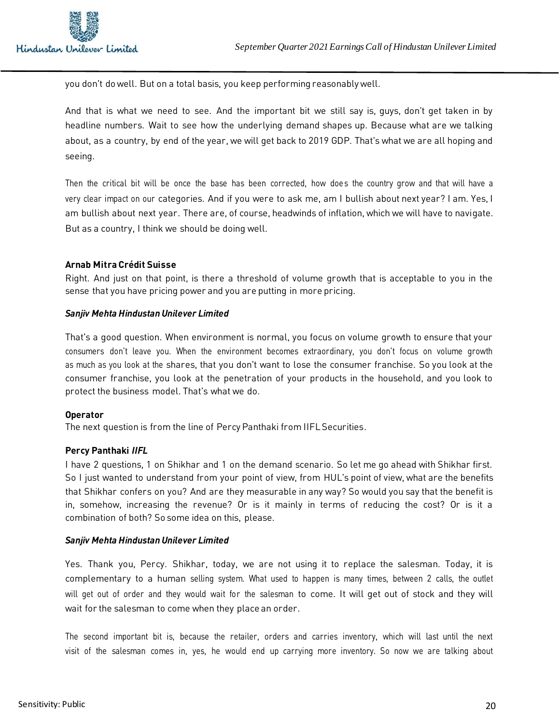you don't do well. But on a total basis, you keep performing reasonably well.

And that is what we need to see. And the important bit we still say is, guys, don't get taken in by headline numbers. Wait to see how the underlying demand shapes up. Because what are we talking about, as a country, by end of the year, we will get back to 2019 GDP. That's what we are all hoping and seeing.

Then the critical bit will be once the base has been corrected, how does the country grow and that will have a very clear impact on our categories. And if you were to ask me, am I bullish about next year? I am. Yes, I am bullish about next year. There are, of course, headwinds of inflation, which we will have to navigate. But as a country, I think we should be doing well.

# **Arnab Mitra Crédit Suisse**

Right. And just on that point, is there a threshold of volume growth that is acceptable to you in the sense that you have pricing power and you are putting in more pricing.

# *Sanjiv Mehta Hindustan Unilever Limited*

That's a good question. When environment is normal, you focus on volume growth to ensure that your consumers don't leave you. When the environment becomes extraordinary, you don't focus on volume growth as much as you look at the shares, that you don't want to lose the consumer franchise. So you look at the consumer franchise, you look at the penetration of your products in the household, and you look to protect the business model. That's what we do.

# **Operator**

The next question is from the line of Percy Panthaki from IIFL Securities.

# **Percy Panthaki** *IIFL*

I have 2 questions, 1 on Shikhar and 1 on the demand scenario. So let me go ahead with Shikhar first. So I just wanted to understand from your point of view, from HUL's point of view, what are the benefits that Shikhar confers on you? And are they measurable in any way? So would you say that the benefit is in, somehow, increasing the revenue? Or is it mainly in terms of reducing the cost? Or is it a combination of both? So some idea on this, please.

# *Sanjiv Mehta Hindustan Unilever Limited*

Yes. Thank you, Percy. Shikhar, today, we are not using it to replace the salesman. Today, it is complementary to a human selling system. What used to happen is many times, between 2 calls, the outlet will get out of order and they would wait for the salesman to come. It will get out of stock and they will wait for the salesman to come when they place an order.

The second important bit is, because the retailer, orders and carries inventory, which will last until the next visit of the salesman comes in, yes, he would end up carrying more inventory. So now we are talking about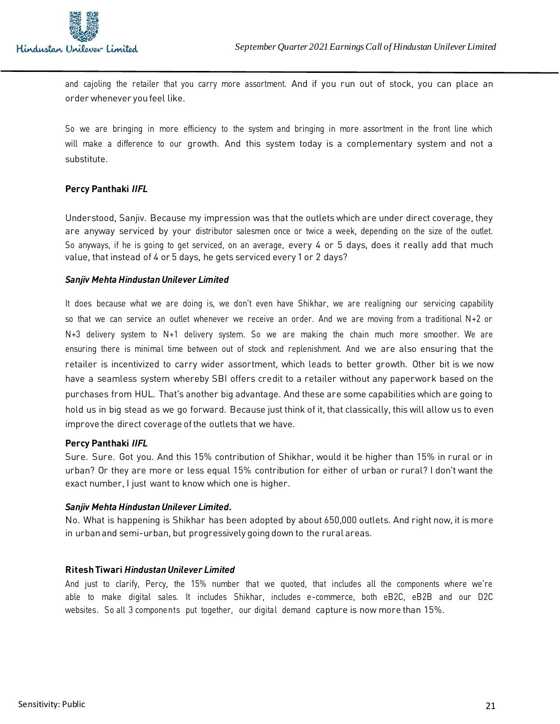

and cajoling the retailer that you carry more assortment. And if you run out of stock, you can place an order whenever you feel like.

So we are bringing in more efficiency to the system and bringing in more assortment in the front line which will make a difference to our growth. And this system today is a complementary system and not a substitute.

# **Percy Panthaki** *IIFL*

Understood, Sanjiv. Because my impression was that the outlets which are under direct coverage, they are anyway serviced by your distributor salesmen once or twice a week, depending on the size of the outlet. So anyways, if he is going to get serviced, on an average, every 4 or 5 days, does it really add that much value, that instead of 4 or 5 days, he gets serviced every 1 or 2 days?

## *Sanjiv Mehta Hindustan Unilever Limited*

It does because what we are doing is, we don't even have Shikhar, we are realigning our servicing capability so that we can service an outlet whenever we receive an order. And we are moving from a traditional N+2 or N+3 delivery system to N+1 delivery system. So we are making the chain much more smoother. We are ensuring there is minimal time between out of stock and replenishment. And we are also ensuring that the retailer is incentivized to carry wider assortment, which leads to better growth. Other bit is we now have a seamless system whereby SBI offers credit to a retailer without any paperwork based on the purchases from HUL. That's another big advantage. And these are some capabilities which are going to hold us in big stead as we go forward. Because just think of it, that classically, this will allow us to even improve the direct coverage of the outlets that we have.

# **Percy Panthaki** *IIFL*

Sure. Sure. Got you. And this 15% contribution of Shikhar, would it be higher than 15% in rural or in urban? Or they are more or less equal 15% contribution for either of urban or rural? I don't want the exact number, I just want to know which one is higher.

## *Sanjiv Mehta Hindustan Unilever Limited.*

No. What is happening is Shikhar has been adopted by about 650,000 outlets. And right now, it is more in urban and semi-urban, but progressively going down to the rural areas.

# **Ritesh Tiwari** *Hindustan Unilever Limited*

And just to clarify, Percy, the 15% number that we quoted, that includes all the components where we're able to make digital sales. It includes Shikhar, includes e-commerce, both eB2C, eB2B and our D2C websites. So all 3 components put together, our digital demand capture is now more than 15%.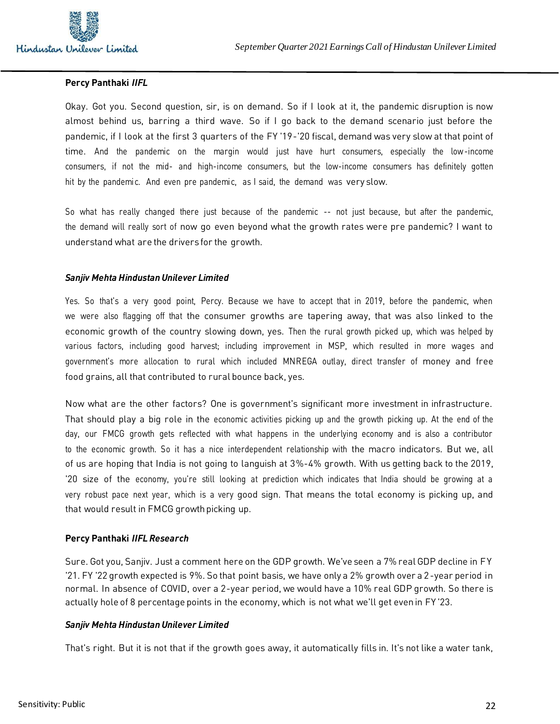

# **Percy Panthaki** *IIFL*

Okay. Got you. Second question, sir, is on demand. So if I look at it, the pandemic disruption is now almost behind us, barring a third wave. So if I go back to the demand scenario just before the pandemic, if I look at the first 3 quarters of the FY '19-'20 fiscal, demand was very slow at that point of time. And the pandemic on the margin would just have hurt consumers, especially the low-income consumers, if not the mid- and high-income consumers, but the low-income consumers has definitely gotten hit by the pandemic. And even pre pandemic, as I said, the demand was very slow.

So what has really changed there just because of the pandemic -- not just because, but after the pandemic, the demand will really sort of now go even beyond what the growth rates were pre pandemic? I want to understand what are the drivers for the growth.

## *Sanjiv Mehta Hindustan Unilever Limited*

Yes. So that's a very good point, Percy. Because we have to accept that in 2019, before the pandemic, when we were also flagging off that the consumer growths are tapering away, that was also linked to the economic growth of the country slowing down, yes. Then the rural growth picked up, which was helped by various factors, including good harvest; including improvement in MSP, which resulted in more wages and government's more allocation to rural which included MNREGA outlay, direct transfer of money and free food grains, all that contributed to rural bounce back, yes.

Now what are the other factors? One is government's significant more investment in infrastructure. That should play a big role in the economic activities picking up and the growth picking up. At the end of the day, our FMCG growth gets reflected with what happens in the underlying economy and is also a contributor to the economic growth. So it has a nice interdependent relationship with the macro indicators. But we, all of us are hoping that India is not going to languish at 3%-4% growth. With us getting back to the 2019, '20 size of the economy, you're still looking at prediction which indicates that India should be growing at a very robust pace next year, which is a very good sign. That means the total economy is picking up, and that would result in FMCG growth picking up.

# **Percy Panthaki** *IIFL Research*

Sure. Got you, Sanjiv. Just a comment here on the GDP growth. We've seen a 7% real GDP decline in FY '21. FY '22 growth expected is 9%. So that point basis, we have only a 2% growth over a 2-year period in normal. In absence of COVID, over a 2-year period, we would have a 10% real GDP growth. So there is actually hole of 8 percentage points in the economy, which is not what we'll get even in FY '23.

## *Sanjiv Mehta Hindustan Unilever Limited*

That's right. But it is not that if the growth goes away, it automatically fills in. It's not like a water tank,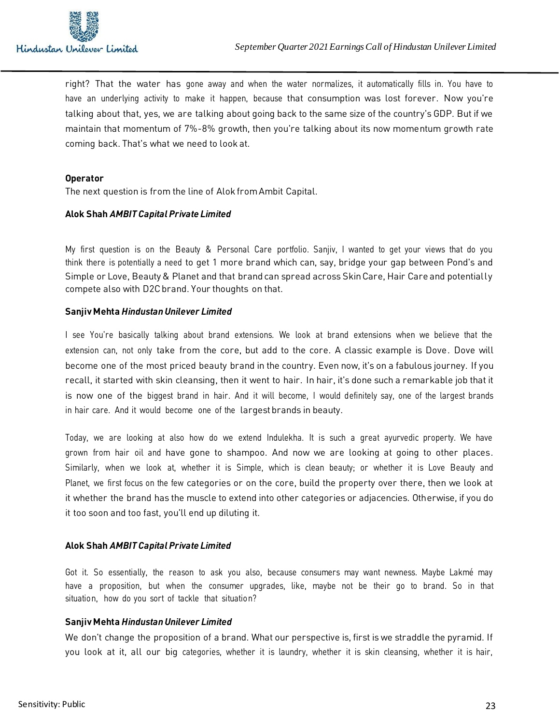

right? That the water has gone away and when the water normalizes, it automatically fills in. You have to have an underlying activity to make it happen, because that consumption was lost forever. Now you're talking about that, yes, we are talking about going back to the same size of the country's GDP. But if we maintain that momentum of 7%-8% growth, then you're talking about its now momentum growth rate coming back. That's what we need to look at.

# **Operator**

The next question is from the line of Alok from Ambit Capital.

## **Alok Shah** *AMBIT Capital Private Limited*

My first question is on the Beauty & Personal Care portfolio. Sanjiv, I wanted to get your views that do you think there is potentially a need to get 1 more brand which can, say, bridge your gap between Pond's and Simple or Love, Beauty & Planet and that brand can spread across Skin Care, Hair Care and potentially compete also with D2C brand. Your thoughts on that.

## **Sanjiv Mehta** *Hindustan Unilever Limited*

I see You're basically talking about brand extensions. We look at brand extensions when we believe that the extension can, not only take from the core, but add to the core. A classic example is Dove. Dove will become one of the most priced beauty brand in the country. Even now, it's on a fabulous journey. If you recall, it started with skin cleansing, then it went to hair. In hair, it's done such a remarkable job that it is now one of the biggest brand in hair. And it will become, I would definitely say, one of the largest brands in hair care. And it would become one of the largest brands in beauty.

Today, we are looking at also how do we extend Indulekha. It is such a great ayurvedic property. We have grown from hair oil and have gone to shampoo. And now we are looking at going to other places. Similarly, when we look at, whether it is Simple, which is clean beauty; or whether it is Love Beauty and Planet, we first focus on the few categories or on the core, build the property over there, then we look at it whether the brand has the muscle to extend into other categories or adjacencies. Otherwise, if you do it too soon and too fast, you'll end up diluting it.

## **Alok Shah** *AMBIT Capital Private Limited*

Got it. So essentially, the reason to ask you also, because consumers may want newness. Maybe Lakmé may have a proposition, but when the consumer upgrades, like, maybe not be their go to brand. So in that situation, how do you sort of tackle that situation?

## **Sanjiv Mehta** *Hindustan Unilever Limited*

We don't change the proposition of a brand. What our perspective is, first is we straddle the pyramid. If you look at it, all our big categories, whether it is laundry, whether it is skin cleansing, whether it is hair,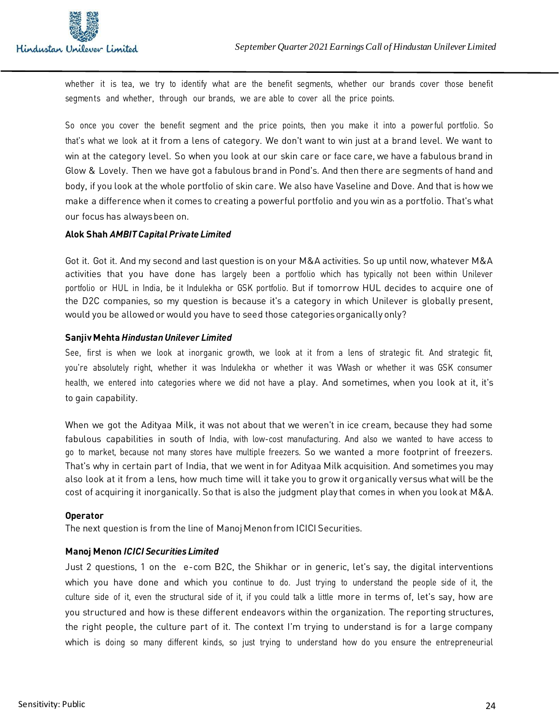

whether it is tea, we try to identify what are the benefit segments, whether our brands cover those benefit segments and whether, through our brands, we are able to cover all the price points.

So once you cover the benefit segment and the price points, then you make it into a power ful portfolio. So that's what we look at it from a lens of category. We don't want to win just at a brand level. We want to win at the category level. So when you look at our skin care or face care, we have a fabulous brand in Glow & Lovely. Then we have got a fabulous brand in Pond's. And then there are segments of hand and body, if you look at the whole portfolio of skin care. We also have Vaseline and Dove. And that is how we make a difference when it comes to creating a powerful portfolio and you win as a portfolio. That's what our focus has always been on.

## **Alok Shah** *AMBIT Capital Private Limited*

Got it. Got it. And my second and last question is on your M&A activities. So up until now, whatever M&A activities that you have done has largely been a portfolio which has typically not been within Unilever portfolio or HUL in India, be it Indulekha or GSK portfolio. But if tomorrow HUL decides to acquire one of the D2C companies, so my question is because it's a category in which Unilever is globally present, would you be allowed or would you have to seed those categories organically only?

## **SanjivMehta** *Hindustan Unilever Limited*

See, first is when we look at inorganic growth, we look at it from a lens of strategic fit. And strategic fit, you're absolutely right, whether it was Indulekha or whether it was VWash or whether it was GSK consumer health, we entered into categories where we did not have a play. And sometimes, when you look at it, it's to gain capability.

When we got the Adityaa Milk, it was not about that we weren't in ice cream, because they had some fabulous capabilities in south of India, with low-cost manufacturing. And also we wanted to have access to go to market, because not many stores have multiple freezers. So we wanted a more footprint of freezers. That's why in certain part of India, that we went in for Adityaa Milk acquisition. And sometimes you may also look at it from a lens, how much time will it take you to grow it organically versus what will be the cost of acquiring it inorganically. So that is also the judgment play that comes in when you look at M&A.

## **Operator**

The next question is from the line of Manoj Menon from ICICI Securities.

## **Manoj Menon** *ICICI Securities Limited*

Just 2 questions, 1 on the e-com B2C, the Shikhar or in generic, let's say, the digital interventions which you have done and which you continue to do. Just trying to understand the people side of it, the culture side of it, even the structural side of it, if you could talk a little more in terms of, let's say, how are you structured and how is these different endeavors within the organization. The reporting structures, the right people, the culture part of it. The context I'm trying to understand is for a large company which is doing so many different kinds, so just trying to understand how do you ensure the entrepreneurial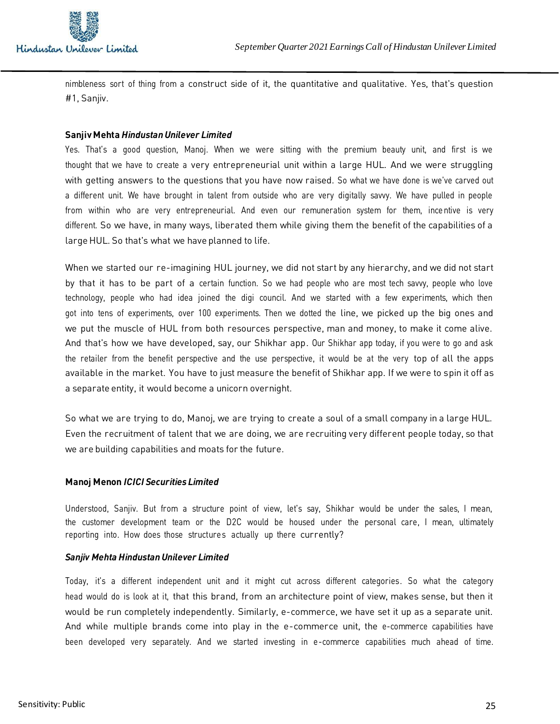

nimbleness sort of thing from a construct side of it, the quantitative and qualitative. Yes, that's question #1, Sanjiv.

# **Sanjiv Mehta** *Hindustan Unilever Limited*

Yes. That's a good question, Manoj. When we were sitting with the premium beauty unit, and first is we thought that we have to create a very entrepreneurial unit within a large HUL. And we were struggling with getting answers to the questions that you have now raised. So what we have done is we've carved out a different unit. We have brought in talent from outside who are very digitally savvy. We have pulled in people from within who are very entrepreneurial. And even our remuneration system for them, incentive is very different. So we have, in many ways, liberated them while giving them the benefit of the capabilities of a large HUL. So that's what we have planned to life.

When we started our re-imagining HUL journey, we did not start by any hierarchy, and we did not start by that it has to be part of a certain function. So we had people who are most tech savvy, people who love technology, people who had idea joined the digi council. And we started with a few experiments, which then got into tens of experiments, over 100 experiments. Then we dotted the line, we picked up the big ones and we put the muscle of HUL from both resources perspective, man and money, to make it come alive. And that's how we have developed, say, our Shikhar app. Our Shikhar app today, if you were to go and ask the retailer from the benefit perspective and the use perspective, it would be at the very top of all the apps available in the market. You have to just measure the benefit of Shikhar app. If we were to spin it off as a separate entity, it would become a unicorn overnight.

So what we are trying to do, Manoj, we are trying to create a soul of a small company in a large HUL. Even the recruitment of talent that we are doing, we are recruiting very different people today, so that we are building capabilities and moats for the future.

# **Manoj Menon** *ICICI Securities Limited*

Understood, Sanjiv. But from a structure point of view, let's say, Shikhar would be under the sales, I mean, the customer development team or the D2C would be housed under the personal care, I mean, ultimately reporting into. How does those structures actually up there currently?

## *Sanjiv Mehta Hindustan Unilever Limited*

Today, it's a different independent unit and it might cut across different categories. So what the category head would do is look at it, that this brand, from an architecture point of view, makes sense, but then it would be run completely independently. Similarly, e-commerce, we have set it up as a separate unit. And while multiple brands come into play in the e-commerce unit, the e-commerce capabilities have been developed very separately. And we started investing in e-commerce capabilities much ahead of time.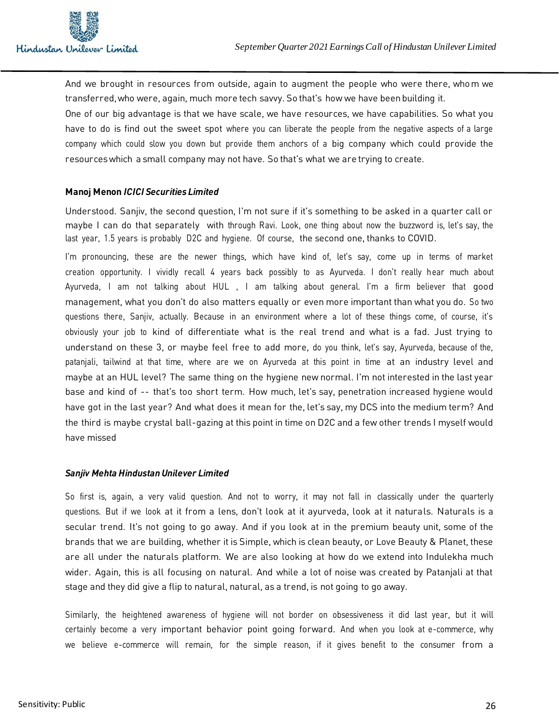

And we brought in resources from outside, again to augment the people who were there, whom we transferred, who were, again, much more tech savvy. So that's how we have been building it.

One of our big advantage is that we have scale, we have resources, we have capabilities. So what you have to do is find out the sweet spot where you can liberate the people from the negative aspects of a large company which could slow you down but provide them anchors of a big company which could provide the resources which a small company may not have. So that's what we are trying to create.

## **Manoj Menon** *ICICI Securities Limited*

Understood. Sanjiv, the second question, I'm not sure if it's something to be asked in a quarter call or maybe I can do that separately with through Ravi. Look, one thing about now the buzzword is, let's say, the last year, 1.5 years is probably D2C and hygiene. Of course, the second one, thanks to COVID.

I'm pronouncing, these are the newer things, which have kind of, let's say, come up in terms of market creation opportunity. I vividly recall 4 years back possibly to as Ayurveda. I don't really hear much about Ayurveda, I am not talking about HUL , I am talking about general. I'm a firm believer that good management, what you don't do also matters equally or even more important than what you do. So two questions there, Sanjiv, actually. Because in an environment where a lot of these things come, of course, it's obviously your job to kind of differentiate what is the real trend and what is a fad. Just trying to understand on these 3, or maybe feel free to add more, do you think, let's say, Ayurveda, because of the, patanjali, tailwind at that time, where are we on Ayurveda at this point in time at an industry level and maybe at an HUL level? The same thing on the hygiene new normal. I'm not interested in the last year base and kind of -- that's too short term. How much, let's say, penetration increased hygiene would have got in the last year? And what does it mean for the, let's say, my DCS into the medium term? And the third is maybe crystal ball-gazing at this point in time on D2C and a few other trends I myself would have missed

## *Sanjiv Mehta Hindustan Unilever Limited*

So first is, again, a very valid question. And not to worry, it may not fall in classically under the quarterly questions. But if we look at it from a lens, don't look at it ayurveda, look at it naturals. Naturals is a secular trend. It's not going to go away. And if you look at in the premium beauty unit, some of the brands that we are building, whether it is Simple, which is clean beauty, or Love Beauty & Planet, these are all under the naturals platform. We are also looking at how do we extend into Indulekha much wider. Again, this is all focusing on natural. And while a lot of noise was created by Patanjali at that stage and they did give a flip to natural, natural, as a trend, is not going to go away.

Similarly, the heightened awareness of hygiene will not border on obsessiveness it did last year, but it will certainly become a very important behavior point going forward. And when you look at e-commerce, why we believe e-commerce will remain, for the simple reason, if it gives benefit to the consumer from a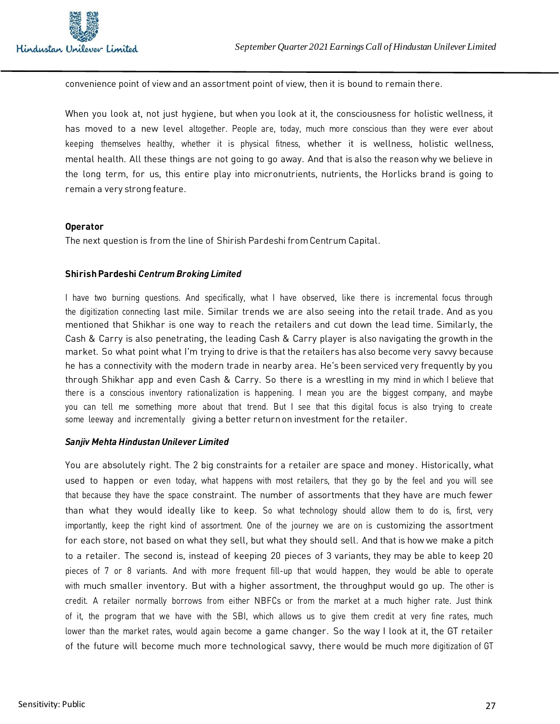

convenience point of view and an assortment point of view, then it is bound to remain there.

When you look at, not just hygiene, but when you look at it, the consciousness for holistic wellness, it has moved to a new level altogether. People are, today, much more conscious than they were ever about keeping themselves healthy, whether it is physical fitness, whether it is wellness, holistic wellness, mental health. All these things are not going to go away. And that is also the reason why we believe in the long term, for us, this entire play into micronutrients, nutrients, the Horlicks brand is going to remain a very strong feature.

## **Operator**

The next question is from the line of Shirish Pardeshi from Centrum Capital.

## **Shirish Pardeshi** *Centrum Broking Limited*

I have two burning questions. And specifically, what I have observed, like there is incremental focus through the digitization connecting last mile. Similar trends we are also seeing into the retail trade. And as you mentioned that Shikhar is one way to reach the retailers and cut down the lead time. Similarly, the Cash & Carry is also penetrating, the leading Cash & Carry player is also navigating the growth in the market. So what point what I'm trying to drive is that the retailers has also become very savvy because he has a connectivity with the modern trade in nearby area. He's been serviced very frequently by you through Shikhar app and even Cash & Carry. So there is a wrestling in my mind in which I believe that there is a conscious inventory rationalization is happening. I mean you are the biggest company, and maybe you can tell me something more about that trend. But I see that this digital focus is also trying to create some leeway and incrementally giving a better return on investment for the retailer.

## *Sanjiv Mehta Hindustan Unilever Limited*

You are absolutely right. The 2 big constraints for a retailer are space and money . Historically, what used to happen or even today, what happens with most retailers, that they go by the feel and you will see that because they have the space constraint. The number of assortments that they have are much fewer than what they would ideally like to keep. So what technology should allow them to do is, first, very importantly, keep the right kind of assortment. One of the journey we are on is customizing the assortment for each store, not based on what they sell, but what they should sell. And that is how we make a pitch to a retailer. The second is, instead of keeping 20 pieces of 3 variants, they may be able to keep 20 pieces of 7 or 8 variants. And with more frequent fill-up that would happen, they would be able to operate with much smaller inventory. But with a higher assortment, the throughput would go up. The other is credit. A retailer normally borrows from either NBFCs or from the market at a much higher rate. Just think of it, the program that we have with the SBI, which allows us to give them credit at very fine rates, much lower than the market rates, would again become a game changer. So the way I look at it, the GT retailer of the future will become much more technological savvy, there would be much more digitization of GT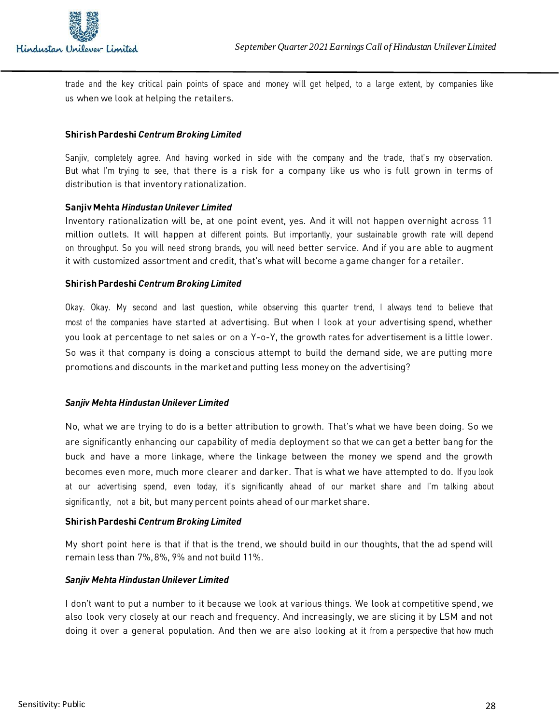

trade and the key critical pain points of space and money will get helped, to a large extent, by companies like us when we look at helping the retailers.

# **Shirish Pardeshi** *Centrum Broking Limited*

Sanjiv, completely agree. And having worked in side with the company and the trade, that's my observation. But what I'm trying to see, that there is a risk for a company like us who is full grown in terms of distribution is that inventory rationalization.

## **Sanjiv Mehta** *Hindustan Unilever Limited*

Inventory rationalization will be, at one point event, yes. And it will not happen overnight across 11 million outlets. It will happen at different points. But importantly, your sustainable growth rate will depend on throughput. So you will need strong brands, you will need better service. And if you are able to augment it with customized assortment and credit, that's what will become a game changer for a retailer.

## **Shirish Pardeshi** *Centrum Broking Limited*

Okay. Okay. My second and last question, while observing this quarter trend, I always tend to believe that most of the companies have started at advertising. But when I look at your advertising spend, whether you look at percentage to net sales or on a Y-o-Y, the growth rates for advertisement is a little lower. So was it that company is doing a conscious attempt to build the demand side, we are putting more promotions and discounts in the market and putting less money on the advertising?

## *Sanjiv Mehta Hindustan Unilever Limited*

No, what we are trying to do is a better attribution to growth. That's what we have been doing. So we are significantly enhancing our capability of media deployment so that we can get a better bang for the buck and have a more linkage, where the linkage between the money we spend and the growth becomes even more, much more clearer and darker. That is what we have attempted to do. If you look at our advertising spend, even today, it's significantly ahead of our market share and I'm talking about significantly, not a bit, but many percent points ahead of our market share.

## **Shirish Pardeshi** *Centrum Broking Limited*

My short point here is that if that is the trend, we should build in our thoughts, that the ad spend will remain less than 7%, 8%, 9% and not build 11%.

## *Sanjiv Mehta Hindustan Unilever Limited*

I don't want to put a number to it because we look at various things. We look at competitive spend, we also look very closely at our reach and frequency. And increasingly, we are slicing it by LSM and not doing it over a general population. And then we are also looking at it from a perspective that how much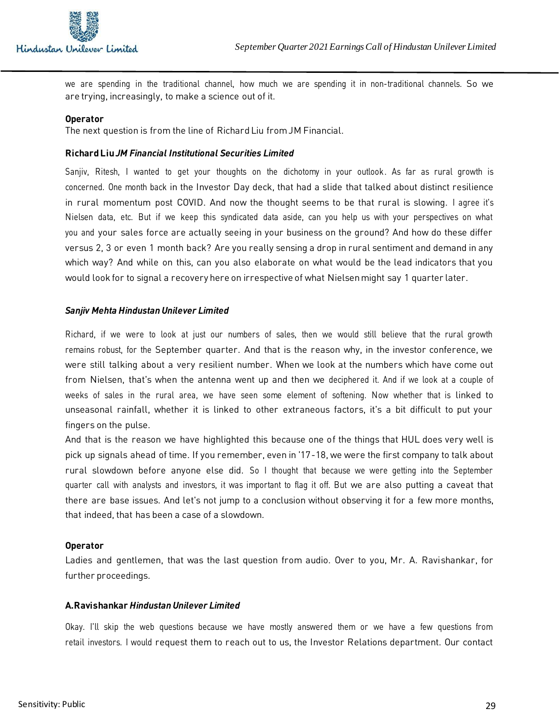

we are spending in the traditional channel, how much we are spending it in non-traditional channels. So we are trying, increasingly, to make a science out of it.

## **Operator**

The next question is from the line of Richard Liu from JM Financial.

## **Richard Liu** *JM Financial Institutional Securities Limited*

Sanjiv, Ritesh, I wanted to get your thoughts on the dichotomy in your outlook. As far as rural growth is concerned. One month back in the Investor Day deck, that had a slide that talked about distinct resilience in rural momentum post COVID. And now the thought seems to be that rural is slowing. I agree it's Nielsen data, etc. But if we keep this syndicated data aside, can you help us with your perspectives on what you and your sales force are actually seeing in your business on the ground? And how do these differ versus 2, 3 or even 1 month back? Are you really sensing a drop in rural sentiment and demand in any which way? And while on this, can you also elaborate on what would be the lead indicators that you would look for to signal a recovery here on irrespective of what Nielsen might say 1 quarter later.

## *Sanjiv Mehta Hindustan Unilever Limited*

Richard, if we were to look at just our numbers of sales, then we would still believe that the rural growth remains robust, for the September quarter. And that is the reason why, in the investor conference, we were still talking about a very resilient number. When we look at the numbers which have come out from Nielsen, that's when the antenna went up and then we deciphered it. And if we look at a couple of weeks of sales in the rural area, we have seen some element of softening. Now whether that is linked to unseasonal rainfall, whether it is linked to other extraneous factors, it's a bit difficult to put your fingers on the pulse.

And that is the reason we have highlighted this because one of the things that HUL does very well is pick up signals ahead of time. If you remember, even in '17-18, we were the first company to talk about rural slowdown before anyone else did. So I thought that because we were getting into the September quarter call with analysts and investors, it was important to flag it off. But we are also putting a caveat that there are base issues. And let's not jump to a conclusion without observing it for a few more months, that indeed, that has been a case of a slowdown.

## **Operator**

Ladies and gentlemen, that was the last question from audio. Over to you, Mr. A. Ravishankar, for further proceedings.

# **A.Ravishankar** *Hindustan Unilever Limited*

Okay. I'll skip the web questions because we have mostly answered them or we have a few questions from retail investors. I would request them to reach out to us, the Investor Relations department. Our contact